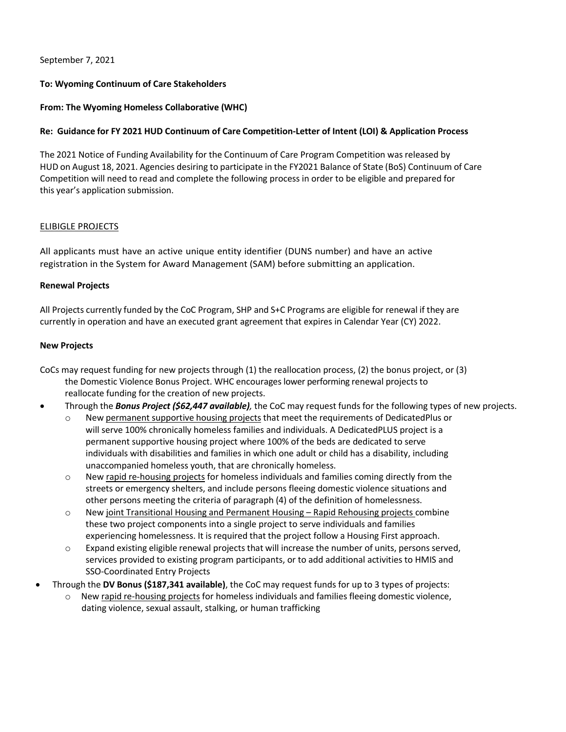September 7, 2021

## **To: Wyoming Continuum of Care Stakeholders**

## **From: The Wyoming Homeless Collaborative (WHC)**

## **Re: Guidance for FY 2021 HUD Continuum of Care Competition-Letter of Intent (LOI) & Application Process**

The 2021 Notice of Funding Availability for the Continuum of Care Program Competition was released by HUD on August 18, 2021. Agencies desiring to participate in the FY2021 Balance of State (BoS) Continuum of Care Competition will need to read and complete the following process in order to be eligible and prepared for this year's application submission.

## ELIBIGLE PROJECTS

All applicants must have an active unique entity identifier (DUNS number) and have an active registration in the System for Award Management (SAM) before submitting an application.

#### **Renewal Projects**

All Projects currently funded by the CoC Program, SHP and S+C Programs are eligible for renewal if they are currently in operation and have an executed grant agreement that expires in Calendar Year (CY) 2022.

#### **New Projects**

- CoCs may request funding for new projects through (1) the reallocation process, (2) the bonus project, or (3) the Domestic Violence Bonus Project. WHC encourages lower performing renewal projects to reallocate funding for the creation of new projects.
- Through the *Bonus Project (\$62,447 available),* the CoC may request funds for the following types of new projects.
	- New permanent supportive housing projects that meet the requirements of DedicatedPlus or will serve 100% chronically homeless families and individuals. A DedicatedPLUS project is a permanent supportive housing project where 100% of the beds are dedicated to serve individuals with disabilities and families in which one adult or child has a disability, including unaccompanied homeless youth, that are chronically homeless.
	- o New rapid re-housing projects for homeless individuals and families coming directly from the streets or emergency shelters, and include persons fleeing domestic violence situations and other persons meeting the criteria of paragraph (4) of the definition of homelessness.
	- o New joint Transitional Housing and Permanent Housing Rapid Rehousing projects combine these two project components into a single project to serve individuals and families experiencing homelessness. It is required that the project follow a Housing First approach.
	- o Expand existing eligible renewal projects that will increase the number of units, persons served, services provided to existing program participants, or to add additional activities to HMIS and SSO-Coordinated Entry Projects
- Through the **DV Bonus (\$187,341 available)**, the CoC may request funds for up to 3 types of projects:
	- $\circ$  New rapid re-housing projects for homeless individuals and families fleeing domestic violence, dating violence, sexual assault, stalking, or human trafficking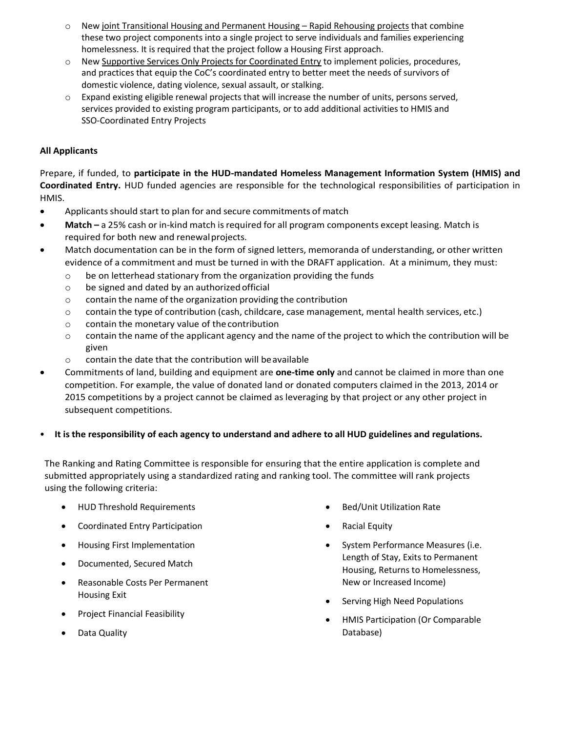- New joint Transitional Housing and Permanent Housing Rapid Rehousing projects that combine these two project components into a single project to serve individuals and families experiencing homelessness. It is required that the project follow a Housing First approach.
- o New Supportive Services Only Projects for Coordinated Entry to implement policies, procedures, and practices that equip the CoC's coordinated entry to better meet the needs of survivors of domestic violence, dating violence, sexual assault, or stalking.
- o Expand existing eligible renewal projects that will increase the number of units, persons served, services provided to existing program participants, or to add additional activities to HMIS and SSO-Coordinated Entry Projects

# **All Applicants**

Prepare, if funded, to **participate in the HUD-mandated Homeless Management Information System (HMIS) and Coordinated Entry.** HUD funded agencies are responsible for the technological responsibilities of participation in HMIS.

- Applicants should start to plan for and secure commitments of match
- Match a 25% cash or in-kind match is required for all program components except leasing. Match is required for both new and renewalprojects.
- Match documentation can be in the form of signed letters, memoranda of understanding, or other written evidence of a commitment and must be turned in with the DRAFT application. At a minimum, they must:
	- o be on letterhead stationary from the organization providing the funds
	- o be signed and dated by an authorized official
	- o contain the name of the organization providing the contribution
	- o contain the type of contribution (cash, childcare, case management, mental health services, etc.)
	- o contain the monetary value of the contribution
	- $\circ$  contain the name of the applicant agency and the name of the project to which the contribution will be given
	- o contain the date that the contribution will beavailable
- Commitments of land, building and equipment are **one-time only** and cannot be claimed in more than one competition. For example, the value of donated land or donated computers claimed in the 2013, 2014 or 2015 competitions by a project cannot be claimed as leveraging by that project or any other project in subsequent competitions.

## • **It is the responsibility of each agency to understand and adhere to all HUD guidelines and regulations.**

The Ranking and Rating Committee is responsible for ensuring that the entire application is complete and submitted appropriately using a standardized rating and ranking tool. The committee will rank projects using the following criteria:

- HUD Threshold Requirements
- Coordinated Entry Participation
- Housing First Implementation
- Documented, Secured Match
- Reasonable Costs Per Permanent Housing Exit
- Project Financial Feasibility
- Data Quality
- Bed/Unit Utilization Rate
- Racial Equity
- System Performance Measures (i.e. Length of Stay, Exits to Permanent Housing, Returns to Homelessness, New or Increased Income)
- Serving High Need Populations
- HMIS Participation (Or Comparable Database)